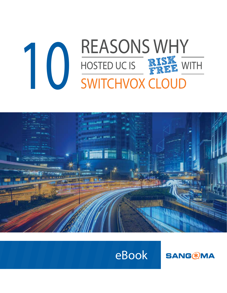# **10 REASONS WHY**<br>SWITCHVOX CLOUD SWITCHVOX CLOUD HOSTED UC IS PREE WITH



# eBook

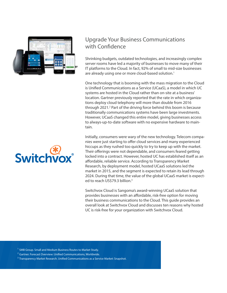

#### Upgrade Your Business Communications with Confidence

Shrinking budgets, outdated technologies, and increasingly complex server rooms have led a majority of businesses to move many of their IT platforms to the Cloud. In fact, 92% of small to mid-size businesses are already using one or more cloud-based solution.<sup>1</sup>

One technology that is booming with the mass migration to the Cloud is Unified Communications as a Service (UCaaS), a model in which UC systems are hosted in the Cloud rather than on-site at a business' location. Gartner previously reported that the rate in which organizations deploy cloud telephony will more than double from 2016 through 2021.<sup>2</sup> Part of the driving force behind this boom is because traditionally communications systems have been large investments. However, UCaaS changed this entire model, giving businesses access to always-up-to-date software with no expensive hardware to maintain.

Initially, consumers were wary of the new technology. Telecom companies were just starting to offer cloud services and many experienced hiccups as they rushed too quickly to try to keep up with the market. Their offerings were not dependable, and consumers feared getting locked into a contract. However, hosted UC has established itself as an affordable, reliable service. According to Transparency Market Research, by deployment model, hosted UCaaS solutions led the market in 2015, and the segment is expected to retain its lead through 2024. During that time, the value of the global UCaaS market is expected to reach US\$79.3 billion.<sup>3</sup>

Switchvox Cloud is Sangoma's award-winning UCaaS solution that provides businesses with an affordable, risk-free option for moving their business communications to the Cloud. This guide provides an overall look at Switchvox Cloud and discusses ten reasons why hosted UC is risk-free for your organization with Switchvox Cloud.

<sup>1</sup> *SMB Group. Small and Medium Business Routes to Market Study.*

- <sup>2</sup> Gartner. Forecast Overview: Unified Communications, Worldwide.
- <sup>3</sup> Transparency Market Research. Unified Communications as a Service Market: Snapshot.

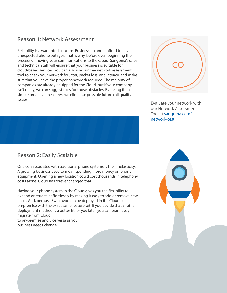#### Reason 1: Network Assessment

Reliability is a warranted concern. Businesses cannot afford to have unexpected phone outages. That is why, before even beginning the process of moving your communications to the Cloud, Sangoma's sales and technical staff will ensure that your business is suitable for cloud-based services. You can also use our free network assessment tool to check your network for jitter, packet loss, and latency, and make sure that you have the proper bandwidth required. The majority of companies are already equipped for the Cloud, but if your company isn't ready, we can suggest fixes for those obstacles. By taking these simple proactive measures, we eliminate possible future call quality issues.

#### Reason 2: Easily Scalable

One con associated with traditional phone systems is their inelasticity. A growing business used to mean spending more money on phone equipment. Opening a new location could cost thousands in telephony costs alone. Cloud has forever changed that.

Having your phone system in the Cloud gives you the flexibility to expand or retract it effortlessly by making it easy to add or remove new users. And, because Switchvox can be deployed in the Cloud or on-premise with the exact same feature set, if you decide that another deployment method is a better fit for you later, you can seamlessly migrate from Cloud to on-premise and vice versa as your

business needs change.



Evaluate your network with our Network Assessment Tool at [sangoma.com/](https://www.sangoma.com/network-test/) [network-test](https://www.sangoma.com/network-test/)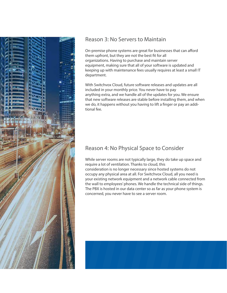

#### Reason 3: No Servers to Maintain

On-premise phone systems are great for businesses that can afford them upfront, but they are not the best fit for all organizations. Having to purchase and maintain server equipment, making sure that all of your software is updated and keeping up with maintenance fees usually requires at least a small IT department.

With Switchvox Cloud, future software releases and updates are all included in your monthly price. You never have to pay anything extra, and we handle all of the updates for you. We ensure that new software releases are stable before installing them, and when we do, it happens without you having to lift a finger or pay an additional fee.

## Reason 4: No Physical Space to Consider

While server rooms are not typically large, they do take up space and require a lot of ventilation. Thanks to cloud, this consideration is no longer necessary since hosted systems do not occupy any physical area at all. For Switchvox Cloud, all you need is your existing network equipment and a network cable connected from the wall to employees' phones. We handle the technical side of things. The PBX is hosted in our data center so as far as your phone system is concerned, you never have to see a server room.

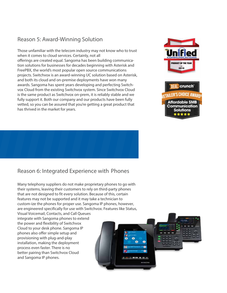### Reason 5: Award-Winning Solution

Those unfamiliar with the telecom industry may not know who to trust when it comes to cloud services. Certainly, not all offerings are created equal. Sangoma has been building communication solutions for businesses for decades beginning with Asterisk and FreePBX, the world's most popular open source communications projects. Switchvox is an award-winning UC solution based on Asterisk, and both its cloud and on-premise deployments have won many awards. Sangoma has spent years developing and perfecting Switchvox Cloud from the existing Switchvox system. Since Switchvox Cloud is the same product as Switchvox on-prem, it is reliably stable and we fully support it. Both our company and our products have been fully vetted, so you can be assured that you're getting a great product that has thrived in the market for years.







#### Reason 6: Integrated Experience with Phones

Many telephony suppliers do not make proprietary phones to go with their systems, leaving their customers to rely on third-party phones that are not designed to fit every solution. Because of this, certain features may not be supported and it may take a technician to custom-ize the phones for proper use. Sangoma IP phones, however, are engineered specifically for use with Switchvox. Features like Status,

Visual Voicemail, Contacts, and Call Queues integrate with Sangoma phones to extend the power and flexibility of Switchvox Cloud to your desk phone. Sangoma IP phones also offer simple setup and provisioning with plug-and-play installation, making the deployment process even faster. There is no better pairing than Switchvox Cloud and Sangoma IP phones.

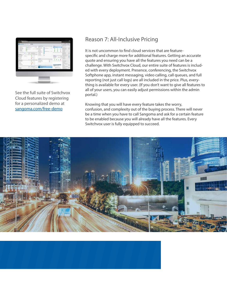

See the full suite of Switchvox Cloud features by registering for a personalized demo at [sangoma.com/free-demo](https://www.sangoma.com/free-demo/)

#### Reason 7: All-Inclusive Pricing

It is not uncommon to find cloud services that are featurespecific and charge more for additional features. Getting an accurate quote and ensuring you have all the features you need can be a challenge. With Switchvox Cloud, our entire suite of features is included with every deployment. Presence, conferencing, the Switchvox Softphone app, instant messaging, video calling, call queues, and full reporting (not just call logs) are all included in the price. Plus, everything is available for every user. (If you don't want to give all features to all of your users, you can easily adjust permissions within the admin portal.)

Knowing that you will have every feature takes the worry, confusion, and complexity out of the buying process. There will never be a time when you have to call Sangoma and ask for a certain feature to be enabled because you will already have all the features. Every Switchvox user is fully equipped to succeed.



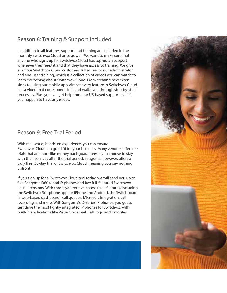### Reason 8: Training & Support Included

In addition to all features, support and training are included in the monthly Switchvox Cloud price as well. We want to make sure that anyone who signs up for Switchvox Cloud has top-notch support whenever they need it and that they have access to training. We give all of our Switchvox Cloud customers full access to our administrator and end-user training, which is a collection of videos you can watch to learn everything about Switchvox Cloud. From creating new extensions to using our mobile app, almost every feature in Switchvox Cloud has a video that corresponds to it and walks you through step-by-step processes. Plus, you can get help from our US-based support staff if you happen to have any issues.

#### Reason 9: Free Trial Period

With real-world, hands-on experience, you can ensure Switchvox Cloud is a good fit for your business. Many vendors offer free trials that are more like money back guarantees if you choose to stay with their services after the trial period. Sangoma, however, offers a truly free, 30-day trial of Switchvox Cloud, meaning you pay nothing upfront.

If you sign up for a Switchvox Cloud trial today, we will send you up to five Sangoma D60 rental IP phones and five full-featured Switchvox user extensions. With those, you receive access to all features, including the Switchvox Softphone app for iPhone and Android, the Switchboard (a web-based dashboard), call queues, Microsoft integration, call recording, and more. With Sangoma's D-Series IP phones, you get to test drive the most tightly integrated IP phones for Switchvox with built-in applications like Visual Voicemail, Call Logs, and Favorites.



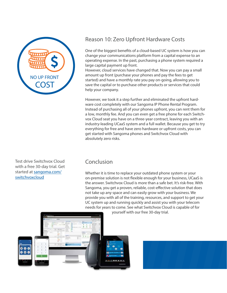

#### Reason 10: Zero Upfront Hardware Costs

One of the biggest benefits of a cloud-based UC system is how you can change your communications platform from a capital expense to an operating expense. In the past, purchasing a phone system required a large capital payment up front.

However, cloud services have changed that. Now you can pay a small amount up front (purchase your phones and pay the fees to get started) and have a monthly rate you pay on-going, allowing you to save the capital or to purchase other products or services that could help your company.

However, we took it a step further and eliminated the upfront hardware cost completely with our Sangoma IP Phone Rental Program. Instead of purchasing all of your phones upfront, you can rent them for a low, monthly fee. And you can even get a free phone for each Switchvox Cloud seat you have on a three-year contract, leaving you with an industry-leading UCaaS system and a full wallet. Because you get to try everything for free and have zero hardware or upfront costs, you can get started with Sangoma phones and Switchvox Cloud with absolutely zero risks.

Test drive Switchvox Cloud with a free 30-day trial. Get started at [sangoma.com/](https://www.sangoma.com/switchvoxcloud/) [switchvoxcloud](https://www.sangoma.com/switchvoxcloud/)

### Conclusion

Whether it is time to replace your outdated phone system or your on-premise solution is not flexible enough for your business, UCaaS is the answer. Switchvox Cloud is more than a safe bet. It's risk-free. With Sangoma, you get a proven, reliable, cost-effective solution that does not take up any space and can easily grow with your business. We provide you with all of the training, resources, and support to get your UC system up and running quickly and assist you with your telecom needs for years to come. See what Switchvox Cloud is capable of for



yourself with our free 30-day trial.